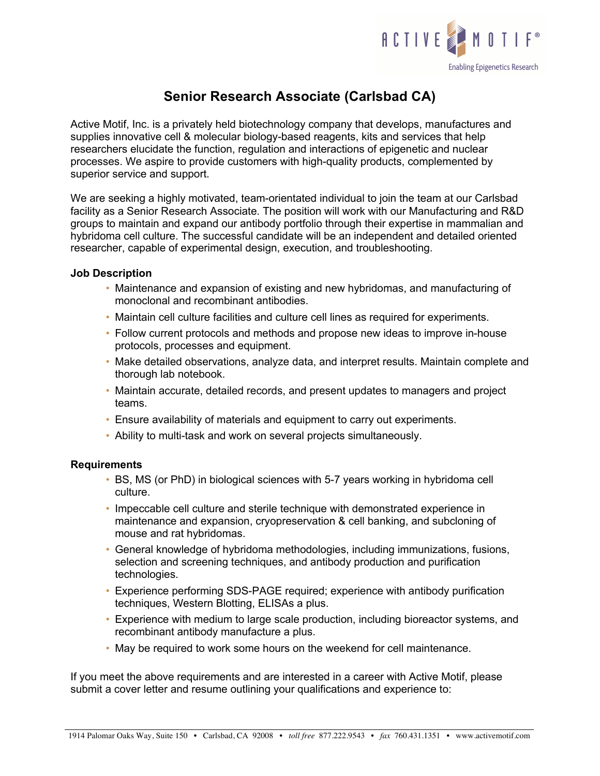

## **Senior Research Associate (Carlsbad CA)**

Active Motif, Inc. is a privately held biotechnology company that develops, manufactures and supplies innovative cell & molecular biology-based reagents, kits and services that help researchers elucidate the function, regulation and interactions of epigenetic and nuclear processes. We aspire to provide customers with high-quality products, complemented by superior service and support.

We are seeking a highly motivated, team-orientated individual to join the team at our Carlsbad facility as a Senior Research Associate. The position will work with our Manufacturing and R&D groups to maintain and expand our antibody portfolio through their expertise in mammalian and hybridoma cell culture. The successful candidate will be an independent and detailed oriented researcher, capable of experimental design, execution, and troubleshooting.

## **Job Description**

- Maintenance and expansion of existing and new hybridomas, and manufacturing of monoclonal and recombinant antibodies.
- Maintain cell culture facilities and culture cell lines as required for experiments.
- Follow current protocols and methods and propose new ideas to improve in-house protocols, processes and equipment.
- Make detailed observations, analyze data, and interpret results. Maintain complete and thorough lab notebook.
- Maintain accurate, detailed records, and present updates to managers and project teams.
- Ensure availability of materials and equipment to carry out experiments.
- Ability to multi-task and work on several projects simultaneously.

## **Requirements**

- BS, MS (or PhD) in biological sciences with 5-7 years working in hybridoma cell culture.
- Impeccable cell culture and sterile technique with demonstrated experience in maintenance and expansion, cryopreservation & cell banking, and subcloning of mouse and rat hybridomas.
- General knowledge of hybridoma methodologies, including immunizations, fusions, selection and screening techniques, and antibody production and purification technologies.
- Experience performing SDS-PAGE required; experience with antibody purification techniques, Western Blotting, ELISAs a plus.
- Experience with medium to large scale production, including bioreactor systems, and recombinant antibody manufacture a plus.
- May be required to work some hours on the weekend for cell maintenance.

If you meet the above requirements and are interested in a career with Active Motif, please submit a cover letter and resume outlining your qualifications and experience to: